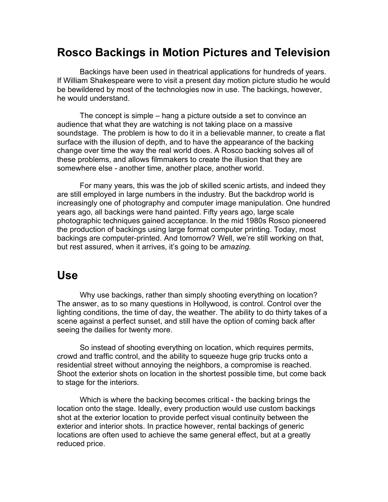## **Rosco Backings in Motion Pictures and Television**

Backings have been used in theatrical applications for hundreds of years. If William Shakespeare were to visit a present day motion picture studio he would be bewildered by most of the technologies now in use. The backings, however, he would understand.

The concept is simple – hang a picture outside a set to convince an audience that what they are watching is not taking place on a massive soundstage. The problem is how to do it in a believable manner, to create a flat surface with the illusion of depth, and to have the appearance of the backing change over time the way the real world does. A Rosco backing solves all of these problems, and allows filmmakers to create the illusion that they are somewhere else - another time, another place, another world.

For many years, this was the job of skilled scenic artists, and indeed they are still employed in large numbers in the industry. But the backdrop world is increasingly one of photography and computer image manipulation. One hundred years ago, all backings were hand painted. Fifty years ago, large scale photographic techniques gained acceptance. In the mid 1980s Rosco pioneered the production of backings using large format computer printing. Today, most backings are computer-printed. And tomorrow? Well, we're still working on that, but rest assured, when it arrives, it's going to be *amazing*.

### **Use**

Why use backings, rather than simply shooting everything on location? The answer, as to so many questions in Hollywood, is control. Control over the lighting conditions, the time of day, the weather. The ability to do thirty takes of a scene against a perfect sunset, and still have the option of coming back after seeing the dailies for twenty more.

So instead of shooting everything on location, which requires permits, crowd and traffic control, and the ability to squeeze huge grip trucks onto a residential street without annoying the neighbors, a compromise is reached. Shoot the exterior shots on location in the shortest possible time, but come back to stage for the interiors.

Which is where the backing becomes critical - the backing brings the location onto the stage. Ideally, every production would use custom backings shot at the exterior location to provide perfect visual continuity between the exterior and interior shots. In practice however, rental backings of generic locations are often used to achieve the same general effect, but at a greatly reduced price.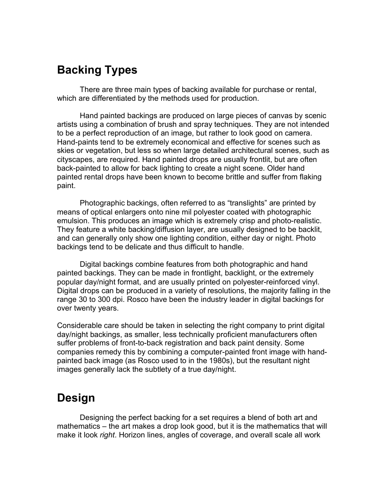# **Backing Types**

There are three main types of backing available for purchase or rental, which are differentiated by the methods used for production.

Hand painted backings are produced on large pieces of canvas by scenic artists using a combination of brush and spray techniques. They are not intended to be a perfect reproduction of an image, but rather to look good on camera. Hand-paints tend to be extremely economical and effective for scenes such as skies or vegetation, but less so when large detailed architectural scenes, such as cityscapes, are required. Hand painted drops are usually frontlit, but are often back-painted to allow for back lighting to create a night scene. Older hand painted rental drops have been known to become brittle and suffer from flaking paint.

Photographic backings, often referred to as "translights" are printed by means of optical enlargers onto nine mil polyester coated with photographic emulsion. This produces an image which is extremely crisp and photo-realistic. They feature a white backing/diffusion layer, are usually designed to be backlit, and can generally only show one lighting condition, either day or night. Photo backings tend to be delicate and thus difficult to handle.

Digital backings combine features from both photographic and hand painted backings. They can be made in frontlight, backlight, or the extremely popular day/night format, and are usually printed on polyester-reinforced vinyl. Digital drops can be produced in a variety of resolutions, the majority falling in the range 30 to 300 dpi. Rosco have been the industry leader in digital backings for over twenty years.

Considerable care should be taken in selecting the right company to print digital day/night backings, as smaller, less technically proficient manufacturers often suffer problems of front-to-back registration and back paint density. Some companies remedy this by combining a computer-painted front image with handpainted back image (as Rosco used to in the 1980s), but the resultant night images generally lack the subtlety of a true day/night.

## **Design**

Designing the perfect backing for a set requires a blend of both art and mathematics – the art makes a drop look good, but it is the mathematics that will make it look *right*. Horizon lines, angles of coverage, and overall scale all work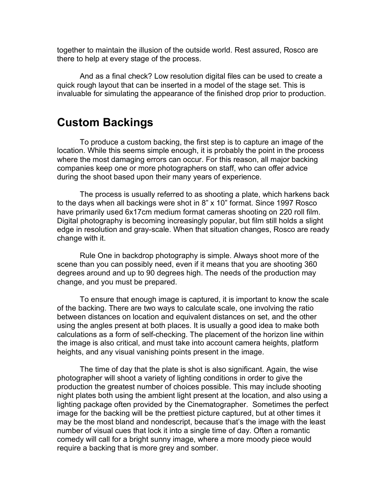together to maintain the illusion of the outside world. Rest assured, Rosco are there to help at every stage of the process.

And as a final check? Low resolution digital files can be used to create a quick rough layout that can be inserted in a model of the stage set. This is invaluable for simulating the appearance of the finished drop prior to production.

#### **Custom Backings**

To produce a custom backing, the first step is to capture an image of the location. While this seems simple enough, it is probably the point in the process where the most damaging errors can occur. For this reason, all major backing companies keep one or more photographers on staff, who can offer advice during the shoot based upon their many years of experience.

The process is usually referred to as shooting a plate, which harkens back to the days when all backings were shot in 8" x 10" format. Since 1997 Rosco have primarily used 6x17cm medium format cameras shooting on 220 roll film. Digital photography is becoming increasingly popular, but film still holds a slight edge in resolution and gray-scale. When that situation changes, Rosco are ready change with it.

Rule One in backdrop photography is simple. Always shoot more of the scene than you can possibly need, even if it means that you are shooting 360 degrees around and up to 90 degrees high. The needs of the production may change, and you must be prepared.

To ensure that enough image is captured, it is important to know the scale of the backing. There are two ways to calculate scale, one involving the ratio between distances on location and equivalent distances on set, and the other using the angles present at both places. It is usually a good idea to make both calculations as a form of self-checking. The placement of the horizon line within the image is also critical, and must take into account camera heights, platform heights, and any visual vanishing points present in the image.

The time of day that the plate is shot is also significant. Again, the wise photographer will shoot a variety of lighting conditions in order to give the production the greatest number of choices possible. This may include shooting night plates both using the ambient light present at the location, and also using a lighting package often provided by the Cinematographer. Sometimes the perfect image for the backing will be the prettiest picture captured, but at other times it may be the most bland and nondescript, because that's the image with the least number of visual cues that lock it into a single time of day. Often a romantic comedy will call for a bright sunny image, where a more moody piece would require a backing that is more grey and somber.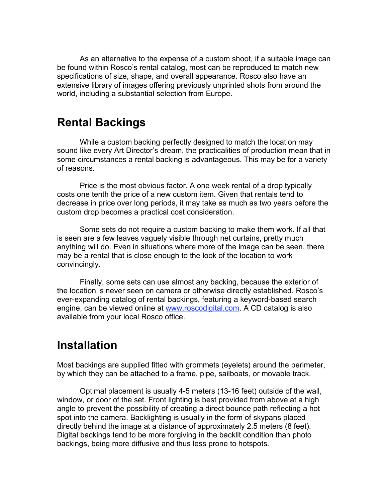As an alternative to the expense of a custom shoot, if a suitable image can be found within Rosco's rental catalog, most can be reproduced to match new specifications of size, shape, and overall appearance. Rosco also have an extensive library of images offering previously unprinted shots from around the world, including a substantial selection from Europe.

## **Rental Backings**

While a custom backing perfectly designed to match the location may sound like every Art Director's dream, the practicalities of production mean that in some circumstances a rental backing is advantageous. This may be for a variety of reasons.

Price is the most obvious factor. A one week rental of a drop typically costs one tenth the price of a new custom item. Given that rentals tend to decrease in price over long periods, it may take as much as two years before the custom drop becomes a practical cost consideration.

Some sets do not require a custom backing to make them work. If all that is seen are a few leaves vaguely visible through net curtains, pretty much anything will do. Even in situations where more of the image can be seen, there may be a rental that is close enough to the look of the location to work convincingly.

Finally, some sets can use almost any backing, because the exterior of the location is never seen on camera or otherwise directly established. Rosco's ever-expanding catalog of rental backings, featuring a keyword-based search engine, can be viewed online at www.roscodigital.com. A CD catalog is also available from your local Rosco office.

## **Installation**

Most backings are supplied fitted with grommets (eyelets) around the perimeter, by which they can be attached to a frame, pipe, sailboats, or movable track.

Optimal placement is usually 4-5 meters (13-16 feet) outside of the wall, window, or door of the set. Front lighting is best provided from above at a high angle to prevent the possibility of creating a direct bounce path reflecting a hot spot into the camera. Backlighting is usually in the form of skypans placed directly behind the image at a distance of approximately 2.5 meters (8 feet). Digital backings tend to be more forgiving in the backlit condition than photo backings, being more diffusive and thus less prone to hotspots.